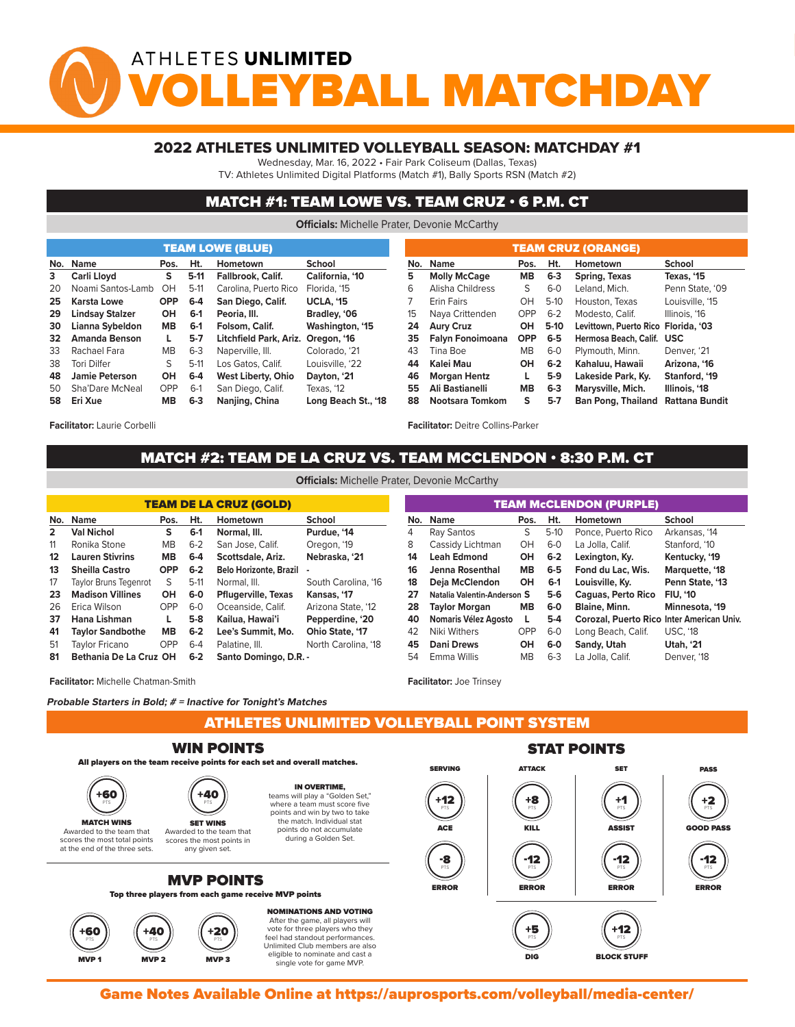# ATHLETES UNLIMITED YBALL MATCHDA

#### 2022 ATHLETES UNLIMITED VOLLEYBALL SEASON: MATCHDAY #1

Wednesday, Mar. 16, 2022 • Fair Park Coliseum (Dallas, Texas)

TV: Athletes Unlimited Digital Platforms (Match #1), Bally Sports RSN (Match #2)

### MATCH #1: TEAM LOWE VS. TEAM CRUZ • 6 P.M. CT

**Officials:** Michelle Prater, Devonie McCarthy

|    |                                     |            |         | <b>TEAM LOWE (BLUE)</b>            |                     | TEAM CRUZ (ORANGE) |                         |            |         |                                     |                 |  |  |  |  |  |
|----|-------------------------------------|------------|---------|------------------------------------|---------------------|--------------------|-------------------------|------------|---------|-------------------------------------|-----------------|--|--|--|--|--|
|    | No. Name<br>Hometown<br>Ht.<br>Pos. |            |         |                                    | School              | No.                | <b>Name</b>             | Pos.       | Ht.     | Hometown                            | School          |  |  |  |  |  |
| 3  | <b>Carli Llovd</b>                  | s          | $5-11$  | <b>Fallbrook, Calif.</b>           | California, '10     | 5                  | <b>Molly McCage</b>     | <b>MB</b>  | $6 - 3$ | Spring, Texas                       | Texas. '15      |  |  |  |  |  |
| 20 | Noami Santos-Lamb                   | OH         | $5-11$  | Carolina, Puerto Rico              | Florida, '15        | 6                  | Alisha Childress        | S          | $6 - 0$ | Leland, Mich.                       | Penn State, '09 |  |  |  |  |  |
| 25 | Karsta Lowe                         | <b>OPP</b> | $6 - 4$ | San Diego, Calif.                  | <b>UCLA. '15</b>    |                    | <b>Erin Fairs</b>       | OH         | $5-10$  | Houston, Texas                      | Louisville, '15 |  |  |  |  |  |
| 29 | <b>Lindsay Stalzer</b>              | <b>OH</b>  | $6-1$   | Peoria, III.                       | Bradley, '06        | 15                 | Nava Crittenden         | <b>OPP</b> | $6 - 2$ | Modesto, Calif.                     | Illinois, '16   |  |  |  |  |  |
| 30 | Lianna Sybeldon                     | <b>MB</b>  | $6-1$   | Folsom, Calif.                     | Washington, '15     | 24                 | <b>Aury Cruz</b>        | OH         | $5-10$  | Levittown, Puerto Rico Florida, '03 |                 |  |  |  |  |  |
| 32 | <b>Amanda Benson</b>                | L.         | $5 - 7$ | Litchfield Park, Ariz. Oregon, '16 |                     | 35                 | <b>Falvn Fonoimoana</b> | <b>OPP</b> | $6 - 5$ | Hermosa Beach, Calif. USC           |                 |  |  |  |  |  |
| 33 | Rachael Fara                        | MВ         | $6 - 3$ | Naperville, III.                   | Colorado, '21       | 43                 | Tina Boe                | MВ         | $6 - 0$ | Plymouth, Minn.                     | Denver, '21     |  |  |  |  |  |
| 38 | Tori Dilfer                         | S.         | $5-11$  | Los Gatos, Calif.                  | Louisville, '22     | 44                 | Kalei Mau               | OH         | $6 - 2$ | Kahaluu, Hawaii                     | Arizona, '16    |  |  |  |  |  |
| 48 | <b>Jamie Peterson</b>               | <b>OH</b>  | $6 - 4$ | <b>West Liberty, Ohio</b>          | Dayton, '21         | 46                 | <b>Morgan Hentz</b>     | L.         | $5-9$   | Lakeside Park, Ky.                  | Stanford, '19   |  |  |  |  |  |
| 50 | Sha'Dare McNeal                     | <b>OPP</b> | $6-1$   | San Diego, Calif.                  | Texas, '12          | 55                 | Ali Bastianelli         | <b>MB</b>  | $6 - 3$ | Marysville, Mich.                   | Illinois, '18   |  |  |  |  |  |
| 58 | Eri Xue                             | MВ         | $6 - 3$ | Nanjing, China                     | Long Beach St., '18 | 88                 | Nootsara Tomkom         | s          | $5-7$   | <b>Ban Pong, Thailand</b>           | Rattana Bundit  |  |  |  |  |  |

**Facilitator:** Laurie Corbelli

# **Facilitator:** Deitre Collins-Parker

**Facilitator:** Joe Trinsey

## MATCH #2: TEAM DE LA CRUZ VS. TEAM MCCLENDON • 8:30 P.M. CT THE POINT SYSTEM **Officials:** Michelle Prater, Devonie McCarthy

| <b>TEAM DE LA CRUZ (GOLD)</b> |                              |            |         |                               |                        |  |  |  |  |  |  |  |
|-------------------------------|------------------------------|------------|---------|-------------------------------|------------------------|--|--|--|--|--|--|--|
| No.                           | <b>Name</b>                  | Pos.       | Ht.     | Hometown                      | <b>School</b>          |  |  |  |  |  |  |  |
| $\overline{2}$                | <b>Val Nichol</b>            | s          | $6-1$   | Normal, III.                  | Purdue, '14            |  |  |  |  |  |  |  |
| 11                            | Ronika Stone                 | <b>MB</b>  | $6 - 2$ | San Jose, Calif.              | Oregon, '19            |  |  |  |  |  |  |  |
| 12                            | <b>Lauren Stivrins</b>       | MВ         | $6-4$   | Scottsdale, Ariz.             | Nebraska, '21          |  |  |  |  |  |  |  |
| 13                            | <b>Sheilla Castro</b>        | <b>OPP</b> | $6-2$   | <b>Belo Horizonte, Brazil</b> |                        |  |  |  |  |  |  |  |
| 17                            | <b>Taylor Bruns Tegenrot</b> | S          | $5-11$  | Normal, III.                  | South Carolina, '16    |  |  |  |  |  |  |  |
| 23                            | <b>Madison Villines</b>      | OН         | $6-0$   | <b>Pflugerville, Texas</b>    | Kansas, '17            |  |  |  |  |  |  |  |
| 26                            | Erica Wilson                 | OPP        | $6-0$   | Oceanside, Calif.             | Arizona State, '12     |  |  |  |  |  |  |  |
| 37                            | Hana Lishman                 | L          | $5-8$   | Kailua, Hawai'i               | Pepperdine, '20        |  |  |  |  |  |  |  |
| 41                            | <b>Taylor Sandbothe</b>      | <b>MB</b>  | $6 - 2$ | Lee's Summit. Mo.             | <b>Ohio State, '17</b> |  |  |  |  |  |  |  |
| 51                            | <b>Taylor Fricano</b>        | OPP        | $6 - 4$ | Palatine, III.                | North Carolina, '18    |  |  |  |  |  |  |  |
| 81                            | Bethania De La Cruz OH       |            | $6 - 2$ | Santo Domingo, D.R. -         |                        |  |  |  |  |  |  |  |

| <b>TEAM MCCLENDON (PURPLE)</b> |                             |           |         |                                           |                 |  |  |  |  |  |  |  |  |
|--------------------------------|-----------------------------|-----------|---------|-------------------------------------------|-----------------|--|--|--|--|--|--|--|--|
| No.                            | <b>Name</b>                 | Pos.      | Ht.     | Hometown                                  | <b>School</b>   |  |  |  |  |  |  |  |  |
| 4                              | Ray Santos                  | S         | $5-10$  | Ponce, Puerto Rico                        | Arkansas, '14   |  |  |  |  |  |  |  |  |
| 8                              | Cassidy Lichtman            | OH        | $6 - 0$ | La Jolla, Calif.                          | Stanford, '10   |  |  |  |  |  |  |  |  |
| 14                             | <b>Leah Edmond</b>          | OH        | $6 - 2$ | Lexington, Ky.                            | Kentucky, '19   |  |  |  |  |  |  |  |  |
| 16                             | Jenna Rosenthal             | <b>MB</b> | $6-5$   | Fond du Lac. Wis.                         | Marquette, '18  |  |  |  |  |  |  |  |  |
| 18                             | Deja McClendon              | OH        | $6-1$   | Louisville, Ky.                           | Penn State, '13 |  |  |  |  |  |  |  |  |
| 27                             | Natalia Valentin-Anderson S |           | $5-6$   | Caquas, Perto Rico                        | <b>FIU. '10</b> |  |  |  |  |  |  |  |  |
| 28                             | <b>Taylor Morgan</b>        | <b>MB</b> | $6-0$   | <b>Blaine, Minn.</b>                      | Minnesota, '19  |  |  |  |  |  |  |  |  |
| 40                             | Nomaris Vélez Agosto        | L.        | $5-4$   | Corozal, Puerto Rico Inter American Univ. |                 |  |  |  |  |  |  |  |  |
| 42                             | Niki Withers                | OPP       | $6-0$   | Long Beach, Calif.                        | <b>USC. '18</b> |  |  |  |  |  |  |  |  |
| 45                             | <b>Dani Drews</b>           | OH        | $6-0$   | Sandy, Utah                               | Utah, '21       |  |  |  |  |  |  |  |  |
| 54                             | Emma Willis                 | <b>MB</b> | $6 - 3$ | La Jolla, Calif.                          | Denver. '18     |  |  |  |  |  |  |  |  |

single vote for game MVP.

**Facilitator:** Michelle Chatman-Smith

**Probable Starters in Bold; # = Inactive for Tonight's Matches**

ATHLETES UNLIMITED VOLLEYBALL POINT SYSTEM MVP 2 MVP 2 MVP 3 MVP 3 MVP 3 MVP 3 MVP 3 MVP 3 MVP 3 MVP 3 MVP 3 MVP 3 MVP 3 MVP 3 MVP 3 MVP 3 MVP 3 MVP 3 MV



Game Notes Available Online at https://auprosports.com/volleyball/media-center/<br>.